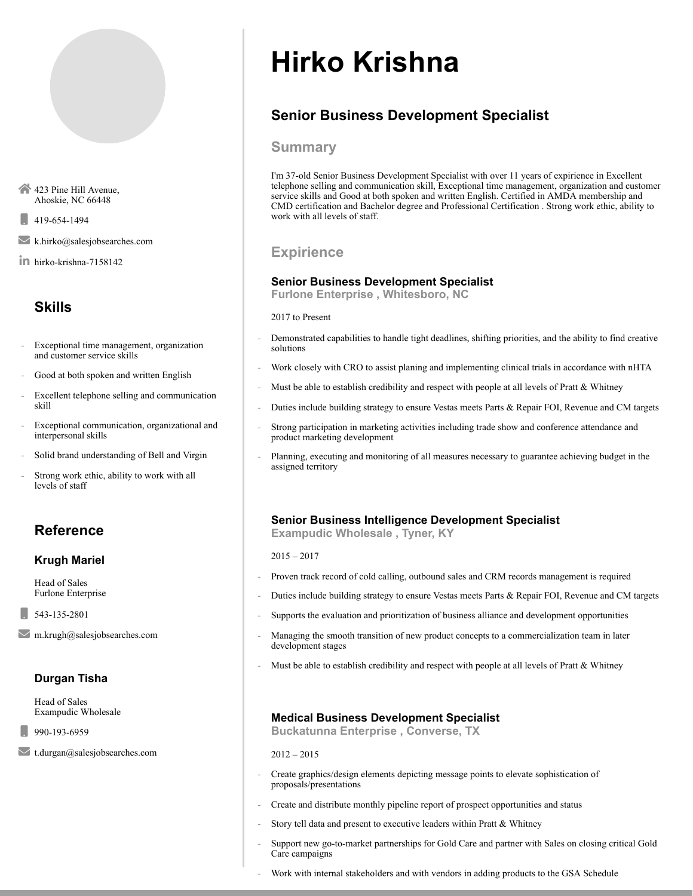423 Pine Hill Avenue, Ahoskie, NC 66448

 $1419-654-1494$ 

k.hirko@salesjobsearches.com

hirko-krishna-7158142

# Skills

- Exceptional time management, organization and customer service skills
- Good at both spoken and written English
- Excellent telephone selling and communication skill
- Exceptional communication, organizational and interpersonal skills
- Solid brand understanding of Bell and Virgin
- Strong work ethic, ability to work with all levels of staff

# Reference

#### Krugh Mariel

Head of Sales Furlone Enterprise

543-135-2801

 $\blacksquare$ m.krugh@salesjobsearches.com

# Durgan Tisha

Head of Sales Exampudic Wholesale

990-193-6959

t.durgan@salesjobsearches.com

# Hirko Krishna

# Senior Business Development Specialist

#### Summary

I'm 37-old Senior Business Development Specialist with over 11 years of expirience in Excellent telephone selling and communication skill, Exceptional time management, organization and customer service skills and Good at both spoken and written English. Certified in AMDA membership and CMD certification and Bachelor degree and Professional Certification . Strong work ethic, ability to work with all levels of staff.

# **Expirience**

#### Senior Business Development Specialist

Furlone Enterprise , Whitesboro, NC

2017 to Present

- Demonstrated capabilities to handle tight deadlines, shifting priorities, and the ability to find creative solutions
- Work closely with CRO to assist planing and implementing clinical trials in accordance with nHTA
- Must be able to establish credibility and respect with people at all levels of Pratt & Whitney
- Duties include building strategy to ensure Vestas meets Parts & Repair FOI, Revenue and CM targets
- Strong participation in marketing activities including trade show and conference attendance and product marketing development
- Planning, executing and monitoring of all measures necessary to guarantee achieving budget in the assigned territory

### Senior Business Intelligence Development Specialist

Exampudic Wholesale , Tyner, KY

2015 – 2017

- Proven track record of cold calling, outbound sales and CRM records management is required
- Duties include building strategy to ensure Vestas meets Parts & Repair FOI, Revenue and CM targets
- Supports the evaluation and prioritization of business alliance and development opportunities
- Managing the smooth transition of new product concepts to a commercialization team in later development stages
- Must be able to establish credibility and respect with people at all levels of Pratt  $&$  Whitney

#### Medical Business Development Specialist

Buckatunna Enterprise , Converse, TX

2012 – 2015

- Create graphics/design elements depicting message points to elevate sophistication of proposals/presentations
- Create and distribute monthly pipeline report of prospect opportunities and status
- Story tell data and present to executive leaders within Pratt & Whitney
- Support new go-to-market partnerships for Gold Care and partner with Sales on closing critical Gold Care campaigns
- Work with internal stakeholders and with vendors in adding products to the GSA Schedule